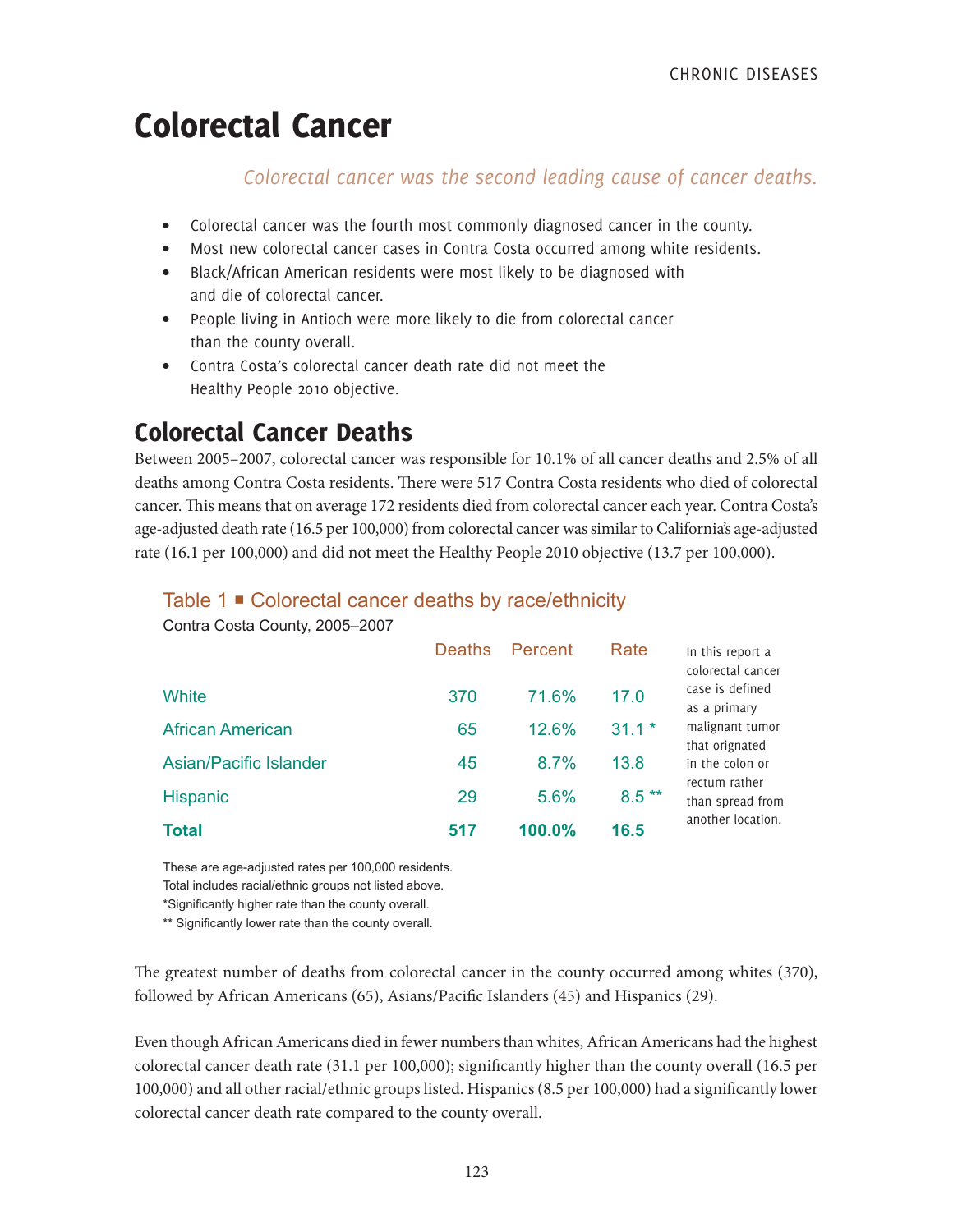# Colorectal Cancer

### *Colorectal cancer was the second leading cause of cancer deaths.*

- Colorectal cancer was the fourth most commonly diagnosed cancer in the county.
- Most new colorectal cancer cases in Contra Costa occurred among white residents.
- Black/African American residents were most likely to be diagnosed with and die of colorectal cancer.
- People living in Antioch were more likely to die from colorectal cancer than the county overall.
- Contra Costa's colorectal cancer death rate did not meet the Healthy People 2010 objective.

# Colorectal Cancer Deaths

Between 2005–2007, colorectal cancer was responsible for 10.1% of all cancer deaths and 2.5% of all deaths among Contra Costa residents. There were 517 Contra Costa residents who died of colorectal cancer. This means that on average 172 residents died from colorectal cancer each year. Contra Costa's age-adjusted death rate (16.5 per 100,000) from colorectal cancer was similar to California's age-adjusted rate (16.1 per 100,000) and did not meet the Healthy People 2010 objective (13.7 per 100,000).

#### Table 1 **■** Colorectal cancer deaths by race/ethnicity

| <b>Total</b>                  | 517           | 100.0%  | 16.5    | another location.                                    |
|-------------------------------|---------------|---------|---------|------------------------------------------------------|
| Hispanic                      | 29            | 5.6%    | $8.5**$ | rectum rather<br>than spread from                    |
| <b>Asian/Pacific Islander</b> | 45            | 8.7%    | 13.8    | that orignated<br>in the colon or                    |
| <b>African American</b>       | 65            | 12.6%   | $31.1*$ | malignant tumor                                      |
| White                         | 370           | 71.6%   | 17.0    | colorectal cancer<br>case is defined<br>as a primary |
|                               | <b>Deaths</b> | Percent | Rate    | In this report a                                     |

Contra Costa County, 2005–2007

These are age-adjusted rates per 100,000 residents.

Total includes racial/ethnic groups not listed above.

\*Significantly higher rate than the county overall.

\*\* Significantly lower rate than the county overall.

The greatest number of deaths from colorectal cancer in the county occurred among whites (370), followed by African Americans (65), Asians/Pacific Islanders (45) and Hispanics (29).

Even though African Americans died in fewer numbers than whites, African Americans had the highest colorectal cancer death rate (31.1 per 100,000); significantly higher than the county overall (16.5 per 100,000) and all other racial/ethnic groups listed. Hispanics (8.5 per 100,000) had a significantly lower colorectal cancer death rate compared to the county overall.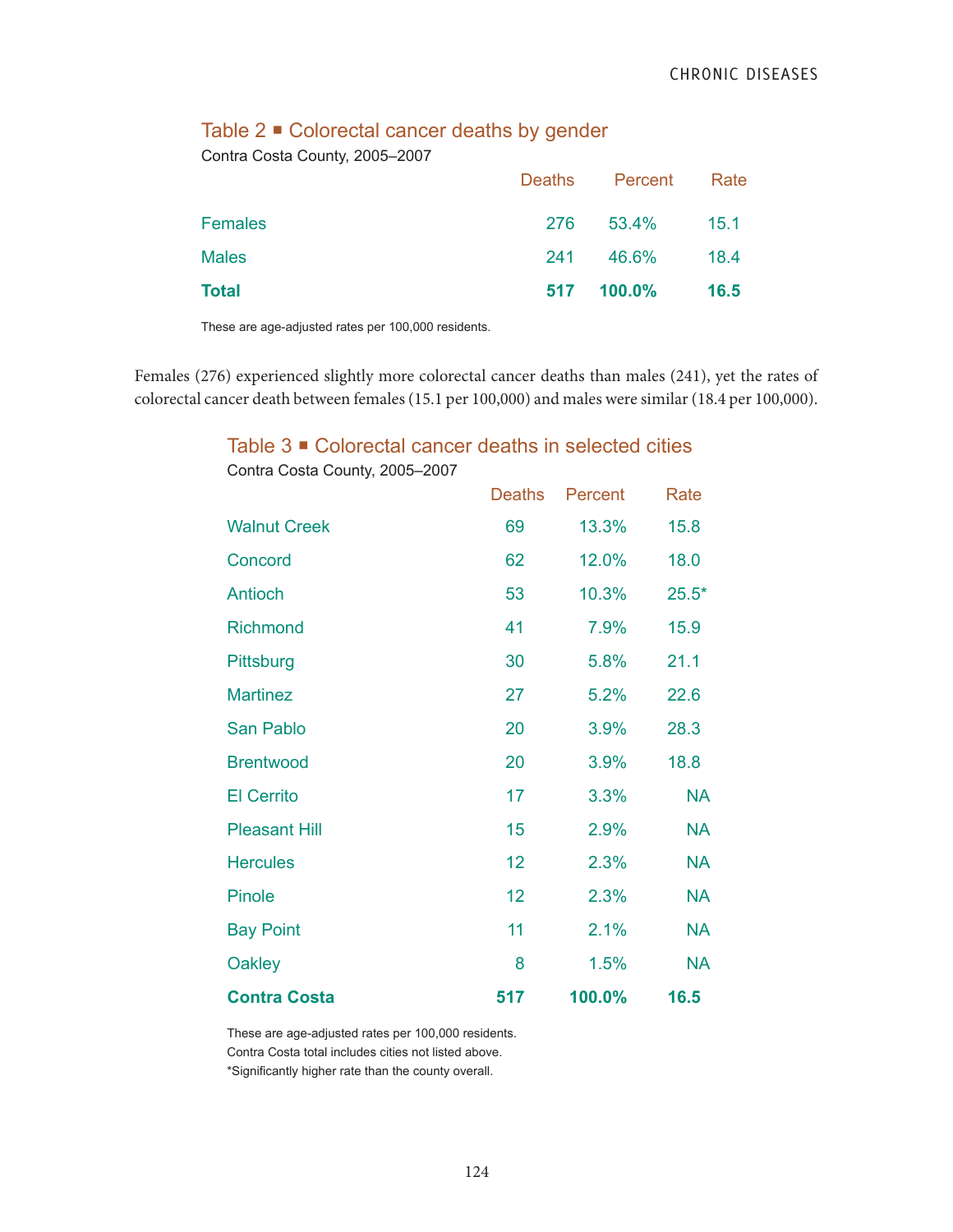#### Table 2 ■ Colorectal cancer deaths by gender

Contra Costa County, 2005–2007

|                |     | Deaths Percent Rate |      |
|----------------|-----|---------------------|------|
| <b>Females</b> |     | 276 53.4%           | 15.1 |
| <b>Males</b>   | 241 | 46.6%               | 18.4 |
| Total          |     | 517 100.0%          | 16.5 |

These are age-adjusted rates per 100,000 residents.

Females (276) experienced slightly more colorectal cancer deaths than males (241), yet the rates of colorectal cancer death between females (15.1 per 100,000) and males were similar (18.4 per 100,000).

#### Table 3 ■ Colorectal cancer deaths in selected cities

|                      | <b>Deaths</b> | Percent | Rate      |
|----------------------|---------------|---------|-----------|
| <b>Walnut Creek</b>  | 69            | 13.3%   | 15.8      |
| Concord              | 62            | 12.0%   | 18.0      |
| Antioch              | 53            | 10.3%   | $25.5*$   |
| <b>Richmond</b>      | 41            | 7.9%    | 15.9      |
| Pittsburg            | 30            | 5.8%    | 21.1      |
| <b>Martinez</b>      | 27            | 5.2%    | 22.6      |
| San Pablo            | 20            | 3.9%    | 28.3      |
| <b>Brentwood</b>     | 20            | 3.9%    | 18.8      |
| <b>El Cerrito</b>    | 17            | 3.3%    | <b>NA</b> |
| <b>Pleasant Hill</b> | 15            | 2.9%    | <b>NA</b> |
| <b>Hercules</b>      | 12            | 2.3%    | <b>NA</b> |
| Pinole               | 12            | 2.3%    | <b>NA</b> |
| <b>Bay Point</b>     | 11            | 2.1%    | <b>NA</b> |
| <b>Oakley</b>        | 8             | 1.5%    | <b>NA</b> |
| <b>Contra Costa</b>  | 517           | 100.0%  | 16.5      |

Contra Costa County, 2005–2007

These are age-adjusted rates per 100,000 residents. Contra Costa total includes cities not listed above.

\*Significantly higher rate than the county overall.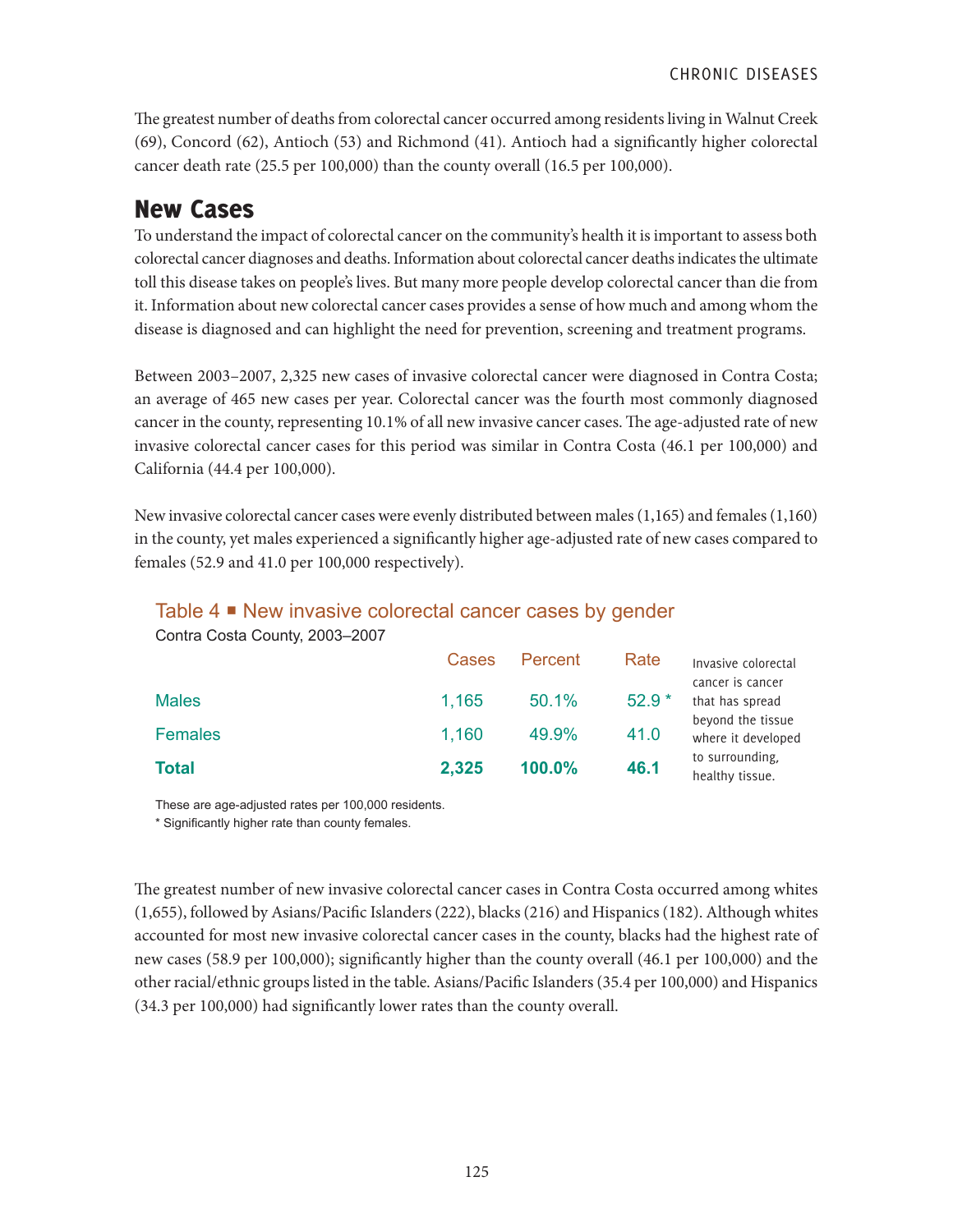The greatest number of deaths from colorectal cancer occurred among residents living in Walnut Creek (69), Concord (62), Antioch (53) and Richmond (41). Antioch had a significantly higher colorectal cancer death rate (25.5 per 100,000) than the county overall (16.5 per 100,000).

## New Cases

To understand the impact of colorectal cancer on the community's health it is important to assess both colorectal cancer diagnoses and deaths. Information about colorectal cancer deaths indicates the ultimate toll this disease takes on people's lives. But many more people develop colorectal cancer than die from it. Information about new colorectal cancer cases provides a sense of how much and among whom the disease is diagnosed and can highlight the need for prevention, screening and treatment programs.

Between 2003–2007, 2,325 new cases of invasive colorectal cancer were diagnosed in Contra Costa; an average of 465 new cases per year. Colorectal cancer was the fourth most commonly diagnosed cancer in the county, representing 10.1% of all new invasive cancer cases. The age-adjusted rate of new invasive colorectal cancer cases for this period was similar in Contra Costa (46.1 per 100,000) and California (44.4 per 100,000).

New invasive colorectal cancer cases were evenly distributed between males (1,165) and females (1,160) in the county, yet males experienced a significantly higher age-adjusted rate of new cases compared to females (52.9 and 41.0 per 100,000 respectively).

#### Table 4 ■ New invasive colorectal cancer cases by gender

Contra Costa County, 2003–2007

|                | Cases | Percent | Rate    | Invasive colorectal<br>cancer is cancer |
|----------------|-------|---------|---------|-----------------------------------------|
| <b>Males</b>   | 1,165 | 50.1%   | $52.9*$ | that has spread                         |
| <b>Females</b> | 1,160 | 49.9%   | 41.0    | beyond the tissue<br>where it developed |
| <b>Total</b>   | 2,325 | 100.0%  | 46.1    | to surrounding,<br>healthy tissue.      |

These are age-adjusted rates per 100,000 residents.

\* Significantly higher rate than county females.

The greatest number of new invasive colorectal cancer cases in Contra Costa occurred among whites (1,655), followed by Asians/Pacific Islanders (222), blacks (216) and Hispanics (182). Although whites accounted for most new invasive colorectal cancer cases in the county, blacks had the highest rate of new cases (58.9 per 100,000); significantly higher than the county overall (46.1 per 100,000) and the other racial/ethnic groups listed in the table. Asians/Pacific Islanders (35.4 per 100,000) and Hispanics (34.3 per 100,000) had significantly lower rates than the county overall.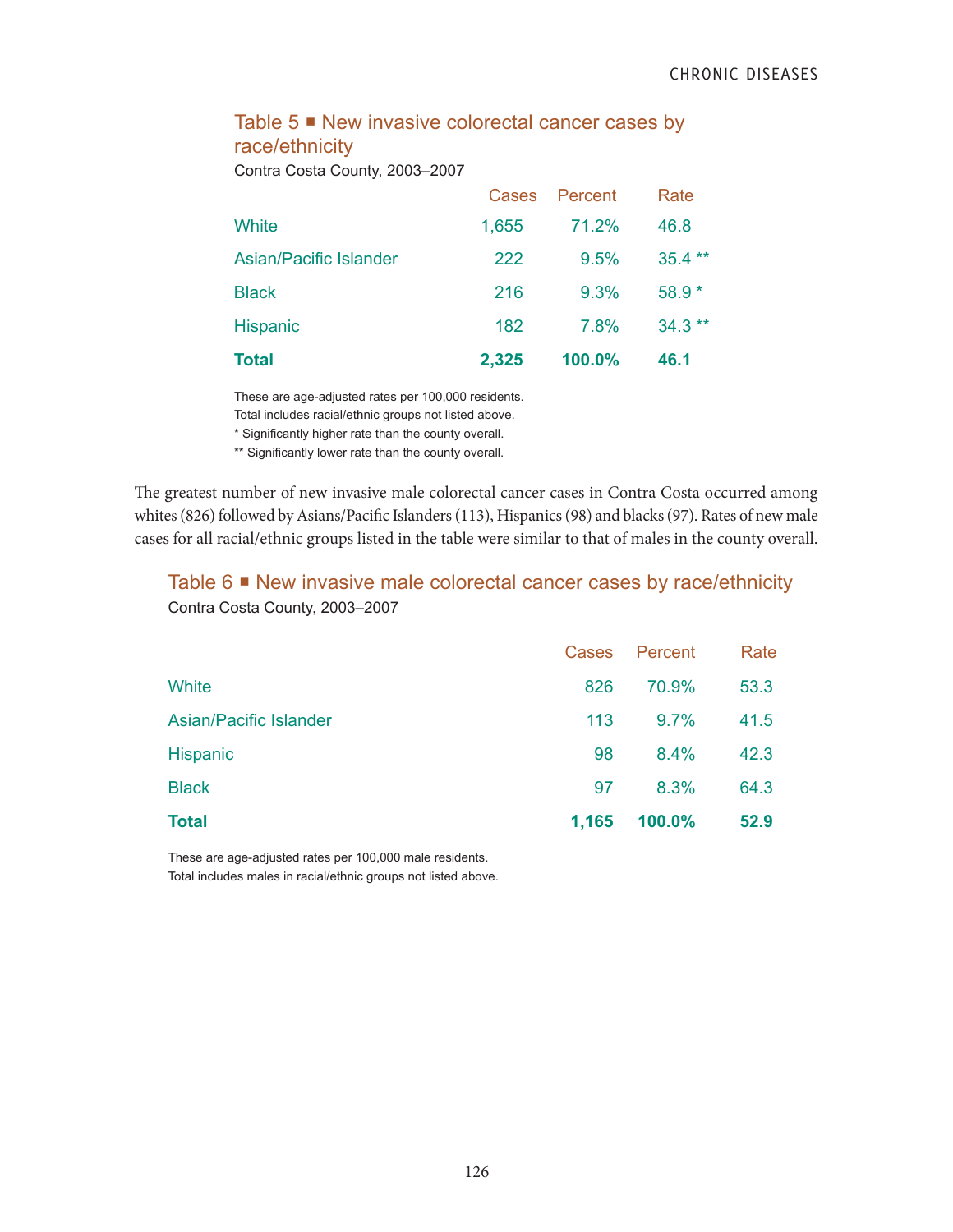### Table 5 <sup>■</sup> New invasive colorectal cancer cases by race/ethnicity

Contra Costa County, 2003–2007

|                        | <b>Cases</b> | Percent | Rate     |
|------------------------|--------------|---------|----------|
| White                  | 1,655        | 71.2%   | 46.8     |
| Asian/Pacific Islander | 222          | 9.5%    | $35.4**$ |
| <b>Black</b>           | 216          | 9.3%    | $58.9*$  |
| Hispanic               | 182          | 7.8%    | $34.3**$ |
| <b>Total</b>           | 2,325        | 100.0%  | 46.1     |

These are age-adjusted rates per 100,000 residents.

Total includes racial/ethnic groups not listed above.

\* Significantly higher rate than the county overall.

\*\* Significantly lower rate than the county overall.

The greatest number of new invasive male colorectal cancer cases in Contra Costa occurred among whites (826) followed by Asians/Pacific Islanders (113), Hispanics (98) and blacks (97). Rates of new male cases for all racial/ethnic groups listed in the table were similar to that of males in the county overall.

#### Table 6 ■ New invasive male colorectal cancer cases by race/ethnicity Contra Costa County, 2003–2007

| Total                         | 1,165 | 100.0%  | 52.9 |
|-------------------------------|-------|---------|------|
| <b>Black</b>                  | 97    | 8.3%    | 64.3 |
| <b>Hispanic</b>               | 98    | 8.4%    | 42.3 |
| <b>Asian/Pacific Islander</b> | 113   | 9.7%    | 41.5 |
| White                         | 826   | 70.9%   | 53.3 |
|                               | Cases | Percent | Rate |

These are age-adjusted rates per 100,000 male residents. Total includes males in racial/ethnic groups not listed above.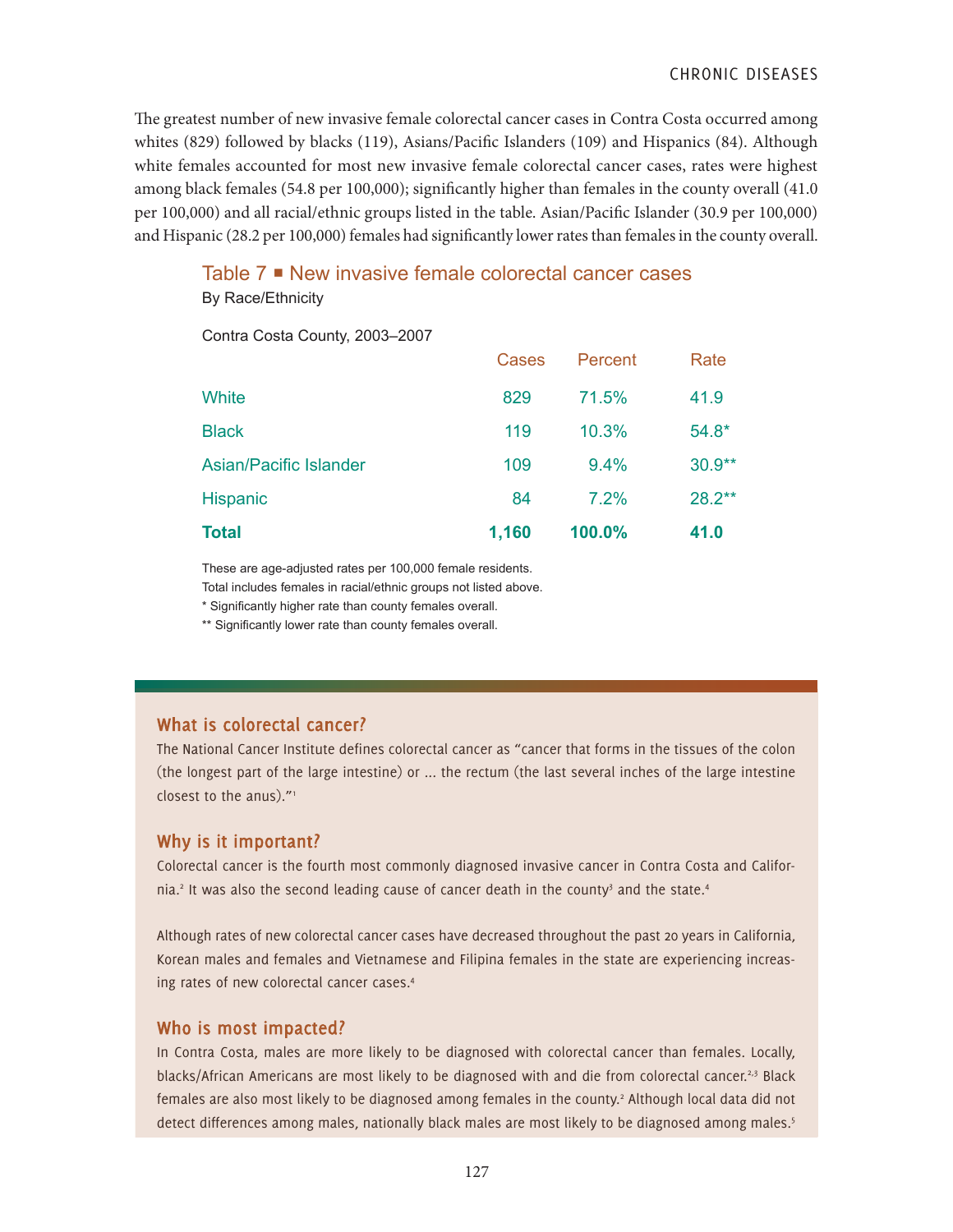The greatest number of new invasive female colorectal cancer cases in Contra Costa occurred among whites (829) followed by blacks (119), Asians/Pacific Islanders (109) and Hispanics (84). Although white females accounted for most new invasive female colorectal cancer cases, rates were highest among black females (54.8 per 100,000); significantly higher than females in the county overall (41.0 per 100,000) and all racial/ethnic groups listed in the table. Asian/Pacific Islander (30.9 per 100,000) and Hispanic (28.2 per 100,000) females had significantly lower rates than females in the county overall.

#### Table 7  $\blacksquare$  New invasive female colorectal cancer cases

By Race/Ethnicity

Contra Costa County, 2003–2007

| <b>Total</b>           | 1,160 | 100.0%  | 41.0      |
|------------------------|-------|---------|-----------|
| <b>Hispanic</b>        | 84    | 7.2%    | $28.2***$ |
| Asian/Pacific Islander | 109   | 9.4%    | $30.9**$  |
| <b>Black</b>           | 119   | 10.3%   | $54.8*$   |
| White                  | 829   | 71.5%   | 41.9      |
|                        | Cases | Percent | Rate      |

These are age-adjusted rates per 100,000 female residents.

Total includes females in racial/ethnic groups not listed above.

\* Significantly higher rate than county females overall.

\*\* Significantly lower rate than county females overall.

#### **What is colorectal cancer?**

The National Cancer Institute defines colorectal cancer as "cancer that forms in the tissues of the colon (the longest part of the large intestine) or ... the rectum (the last several inches of the large intestine closest to the anus)."<sup>1</sup>

#### **Why is it important?**

Colorectal cancer is the fourth most commonly diagnosed invasive cancer in Contra Costa and California.<sup>2</sup> It was also the second leading cause of cancer death in the county<sup>3</sup> and the state.<sup>4</sup>

Although rates of new colorectal cancer cases have decreased throughout the past 20 years in California, Korean males and females and Vietnamese and Filipina females in the state are experiencing increasing rates of new colorectal cancer cases.4

#### **Who is most impacted?**

In Contra Costa, males are more likely to be diagnosed with colorectal cancer than females. Locally, blacks/African Americans are most likely to be diagnosed with and die from colorectal cancer.<sup>2,3</sup> Black females are also most likely to be diagnosed among females in the county.<sup>2</sup> Although local data did not detect differences among males, nationally black males are most likely to be diagnosed among males.<sup>5</sup>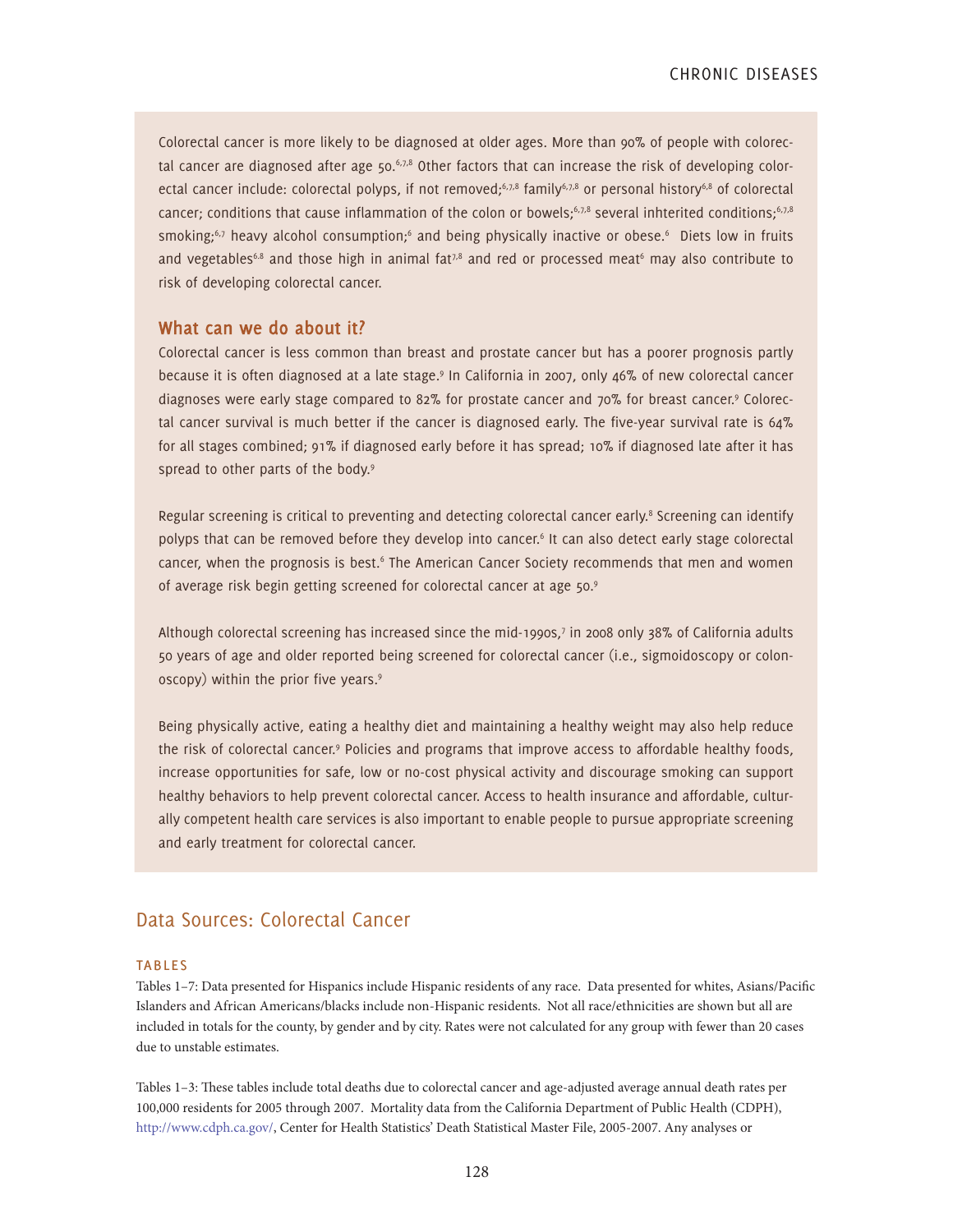Colorectal cancer is more likely to be diagnosed at older ages. More than 90% of people with colorectal cancer are diagnosed after age  $50.67,8$  Other factors that can increase the risk of developing colorectal cancer include: colorectal polyps, if not removed;<sup>6,7,8</sup> family<sup>6,7,8</sup> or personal history<sup>6,8</sup> of colorectal cancer; conditions that cause inflammation of the colon or bowels; $6,7,8$  several inhterited conditions; $6,7,8$ smoking;<sup>6,7</sup> heavy alcohol consumption;<sup>6</sup> and being physically inactive or obese.<sup>6</sup> Diets low in fruits and vegetables<sup>6.8</sup> and those high in animal fat<sup>7,8</sup> and red or processed meat<sup>6</sup> may also contribute to risk of developing colorectal cancer.

#### **What can we do about it?**

Colorectal cancer is less common than breast and prostate cancer but has a poorer prognosis partly because it is often diagnosed at a late stage.<sup>9</sup> In California in 2007, only 46% of new colorectal cancer diagnoses were early stage compared to 82% for prostate cancer and 70% for breast cancer.<sup>9</sup> Colorectal cancer survival is much better if the cancer is diagnosed early. The five-year survival rate is 64% for all stages combined; 91% if diagnosed early before it has spread; 10% if diagnosed late after it has spread to other parts of the body.<sup>9</sup>

Regular screening is critical to preventing and detecting colorectal cancer early.<sup>8</sup> Screening can identify polyps that can be removed before they develop into cancer.<sup>6</sup> It can also detect early stage colorectal cancer, when the prognosis is best.<sup>6</sup> The American Cancer Society recommends that men and women of average risk begin getting screened for colorectal cancer at age 50.9

Although colorectal screening has increased since the mid-1990s,7 in 2008 only 38% of California adults 50 years of age and older reported being screened for colorectal cancer (i.e., sigmoidoscopy or colonoscopy) within the prior five years.<sup>9</sup>

Being physically active, eating a healthy diet and maintaining a healthy weight may also help reduce the risk of colorectal cancer.<sup>9</sup> Policies and programs that improve access to affordable healthy foods, increase opportunities for safe, low or no-cost physical activity and discourage smoking can support healthy behaviors to help prevent colorectal cancer. Access to health insurance and affordable, culturally competent health care services is also important to enable people to pursue appropriate screening and early treatment for colorectal cancer.

#### Data Sources: Colorectal Cancer

#### **TABLES**

Tables 1–7: Data presented for Hispanics include Hispanic residents of any race. Data presented for whites, Asians/Pacific Islanders and African Americans/blacks include non-Hispanic residents. Not all race/ethnicities are shown but all are included in totals for the county, by gender and by city. Rates were not calculated for any group with fewer than 20 cases due to unstable estimates.

Tables 1–3: These tables include total deaths due to colorectal cancer and age-adjusted average annual death rates per 100,000 residents for 2005 through 2007. Mortality data from the California Department of Public Health (CDPH), http://www.cdph.ca.gov/, Center for Health Statistics' Death Statistical Master File, 2005-2007. Any analyses or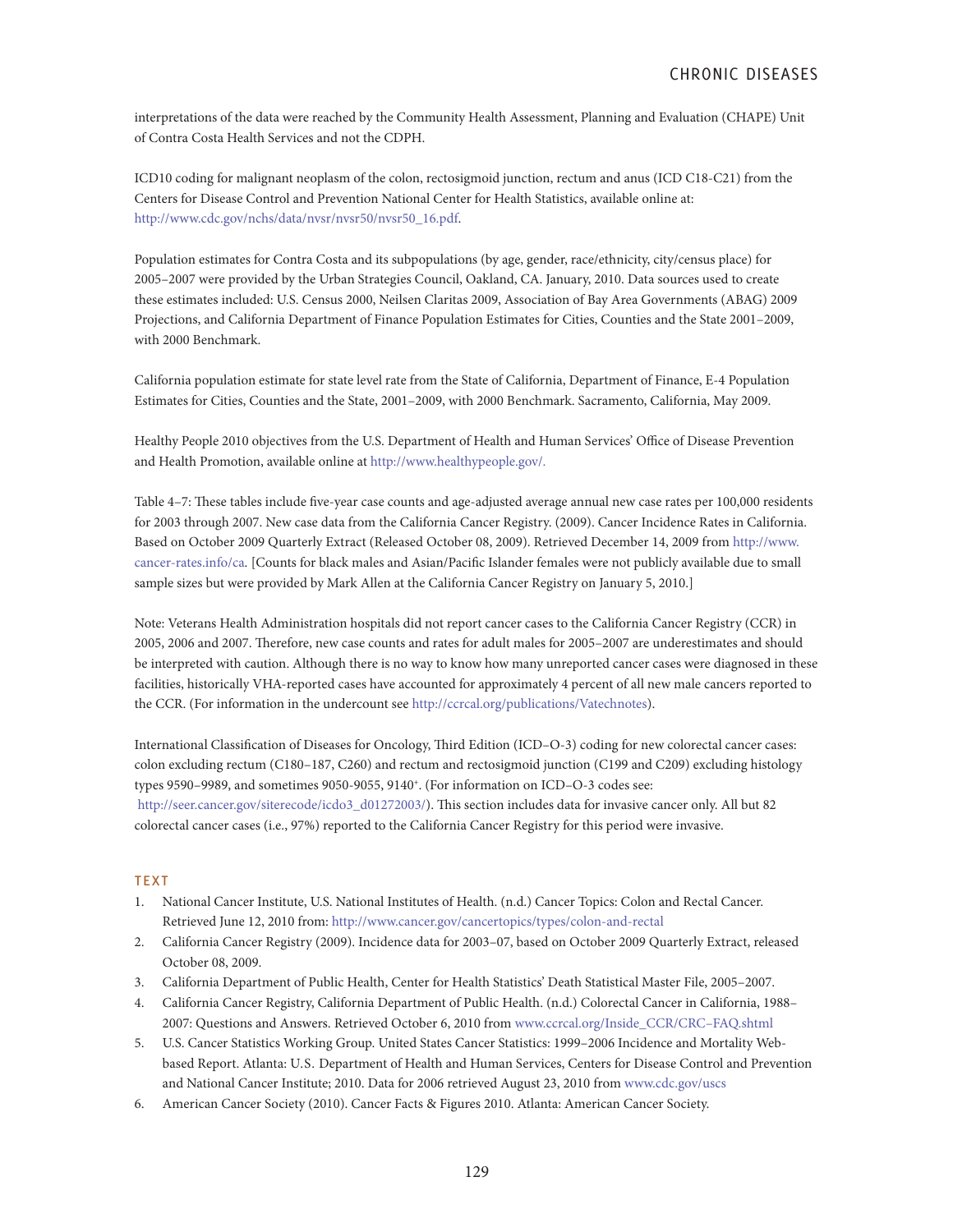interpretations of the data were reached by the Community Health Assessment, Planning and Evaluation (CHAPE) Unit of Contra Costa Health Services and not the CDPH.

ICD10 coding for malignant neoplasm of the colon, rectosigmoid junction, rectum and anus (ICD C18-C21) from the Centers for Disease Control and Prevention National Center for Health Statistics, available online at: http://www.cdc.gov/nchs/data/nvsr/nvsr50/nvsr50\_16.pdf.

Population estimates for Contra Costa and its subpopulations (by age, gender, race/ethnicity, city/census place) for 2005–2007 were provided by the Urban Strategies Council, Oakland, CA. January, 2010. Data sources used to create these estimates included: U.S. Census 2000, Neilsen Claritas 2009, Association of Bay Area Governments (ABAG) 2009 Projections, and California Department of Finance Population Estimates for Cities, Counties and the State 2001–2009, with 2000 Benchmark.

California population estimate for state level rate from the State of California, Department of Finance, E-4 Population Estimates for Cities, Counties and the State, 2001–2009, with 2000 Benchmark. Sacramento, California, May 2009.

Healthy People 2010 objectives from the U.S. Department of Health and Human Services' Office of Disease Prevention and Health Promotion, available online at http://www.healthypeople.gov/.

Table 4–7: These tables include five-year case counts and age-adjusted average annual new case rates per 100,000 residents for 2003 through 2007. New case data from the California Cancer Registry. (2009). Cancer Incidence Rates in California. Based on October 2009 Quarterly Extract (Released October 08, 2009). Retrieved December 14, 2009 from http://www. cancer-rates.info/ca. [Counts for black males and Asian/Pacific Islander females were not publicly available due to small sample sizes but were provided by Mark Allen at the California Cancer Registry on January 5, 2010.]

Note: Veterans Health Administration hospitals did not report cancer cases to the California Cancer Registry (CCR) in 2005, 2006 and 2007. Therefore, new case counts and rates for adult males for 2005–2007 are underestimates and should be interpreted with caution. Although there is no way to know how many unreported cancer cases were diagnosed in these facilities, historically VHA-reported cases have accounted for approximately 4 percent of all new male cancers reported to the CCR. (For information in the undercount see http://ccrcal.org/publications/Vatechnotes).

International Classification of Diseases for Oncology, Third Edition (ICD–O-3) coding for new colorectal cancer cases: colon excluding rectum (C180–187, C260) and rectum and rectosigmoid junction (C199 and C209) excluding histology types 9590–9989, and sometimes 9050-9055, 9140+. (For information on ICD–O-3 codes see: http://seer.cancer.gov/siterecode/icdo3\_d01272003/). This section includes data for invasive cancer only. All but 82 colorectal cancer cases (i.e., 97%) reported to the California Cancer Registry for this period were invasive.

#### **TEXT**

- 1. National Cancer Institute, U.S. National Institutes of Health. (n.d.) Cancer Topics: Colon and Rectal Cancer. Retrieved June 12, 2010 from: http://www.cancer.gov/cancertopics/types/colon-and-rectal
- 2. California Cancer Registry (2009). Incidence data for 2003–07, based on October 2009 Quarterly Extract, released October 08, 2009.
- 3. California Department of Public Health, Center for Health Statistics' Death Statistical Master File, 2005–2007.
- 4. California Cancer Registry, California Department of Public Health. (n.d.) Colorectal Cancer in California, 1988– 2007: Questions and Answers. Retrieved October 6, 2010 from www.ccrcal.org/Inside\_CCR/CRC–FAQ.shtml
- 5. U.S. Cancer Statistics Working Group. United States Cancer Statistics: 1999–2006 Incidence and Mortality Webbased Report. Atlanta: U.S. Department of Health and Human Services, Centers for Disease Control and Prevention and National Cancer Institute; 2010. Data for 2006 retrieved August 23, 2010 from www.cdc.gov/uscs
- 6. American Cancer Society (2010). Cancer Facts & Figures 2010. Atlanta: American Cancer Society.